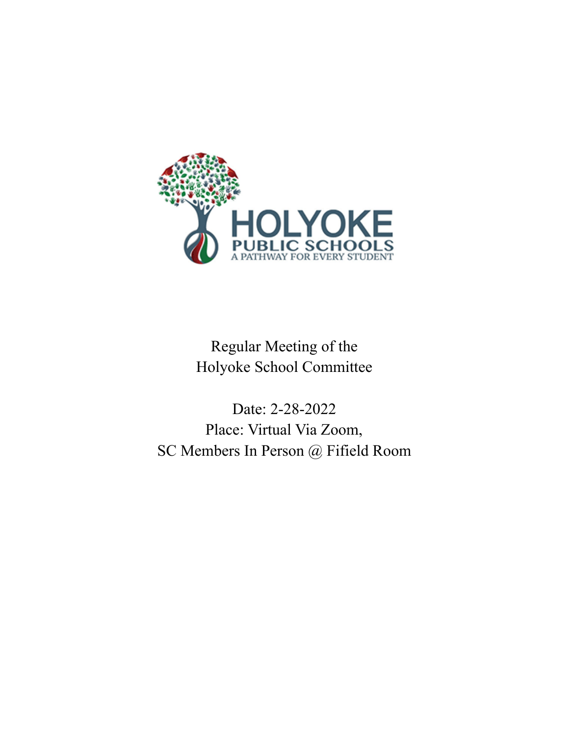

Regular Meeting of the Holyoke School Committee

Date: 2-28-2022 Place: Virtual Via Zoom, SC Members In Person @ Fifield Room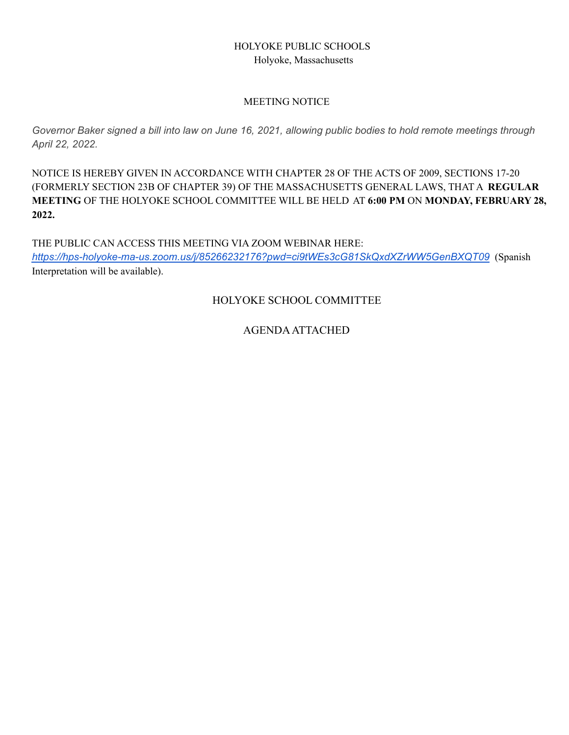## HOLYOKE PUBLIC SCHOOLS Holyoke, Massachusetts

#### MEETING NOTICE

Governor Baker signed a bill into law on June 16, 2021, allowing public bodies to hold remote meetings through *April 22, 2022.*

NOTICE IS HEREBY GIVEN IN ACCORDANCE WITH CHAPTER 28 OF THE ACTS OF 2009, SECTIONS 17-20 (FORMERLY SECTION 23B OF CHAPTER 39) OF THE MASSACHUSETTS GENERAL LAWS, THAT A **REGULAR MEETING** OF THE HOLYOKE SCHOOL COMMITTEE WILL BE HELD AT **6:00 PM** ON **MONDAY, FEBRUARY 28, 2022.**

THE PUBLIC CAN ACCESS THIS MEETING VIA ZOOM WEBINAR HERE: *<https://hps-holyoke-ma-us.zoom.us/j/85266232176?pwd=ci9tWEs3cG81SkQxdXZrWW5GenBXQT09>* (Spanish Interpretation will be available).

HOLYOKE SCHOOL COMMITTEE

AGENDAATTACHED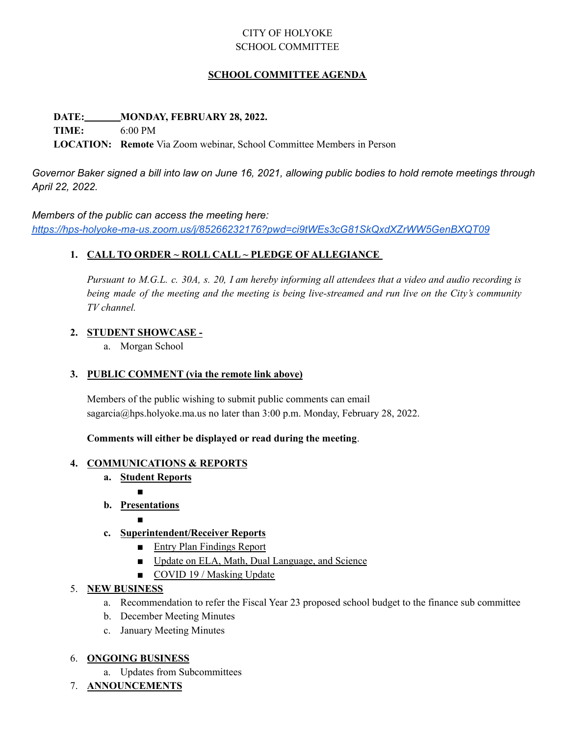# CITY OF HOLYOKE SCHOOL COMMITTEE

#### **SCHOOL COMMITTEE AGENDA**

**DATE: MONDAY, FEBRUARY 28, 2022.**

**TIME:** 6:00 PM

**LOCATION: Remote** Via Zoom webinar, School Committee Members in Person

Governor Baker signed a bill into law on June 16, 2021, allowing public bodies to hold remote meetings through *April 22, 2022.*

#### *Members of the public can access the meeting here:*

*<https://hps-holyoke-ma-us.zoom.us/j/85266232176?pwd=ci9tWEs3cG81SkQxdXZrWW5GenBXQT09>*

#### **1. CALL TO ORDER ~ ROLL CALL ~ PLEDGE OF ALLEGIANCE**

Pursuant to M.G.L. c. 30A, s. 20, I am hereby informing all attendees that a video and audio recording is being made of the meeting and the meeting is being live-streamed and run live on the City's community *TV channel.*

#### **2. STUDENT SHOWCASE -**

a. Morgan School

#### **3. PUBLIC COMMENT (via the remote link above)**

Members of the public wishing to submit public comments can email sagarcia@hps.holyoke.ma.us no later than 3:00 p.m. Monday, February 28, 2022.

#### **Comments will either be displayed or read during the meeting**.

#### **4. COMMUNICATIONS & REPORTS**

**a. Student Reports**

■

**b. Presentations** ■

#### **c. Superintendent/Receiver Reports**

- Entry Plan Findings Report
- Update on ELA, Math, Dual Language, and Science
- COVID 19 / Masking Update

#### 5. **NEW BUSINESS**

- a. Recommendation to refer the Fiscal Year 23 proposed school budget to the finance sub committee
- b. December Meeting Minutes
- c. January Meeting Minutes

#### 6. **ONGOING BUSINESS**

- a. Updates from Subcommittees
- 7. **ANNOUNCEMENTS**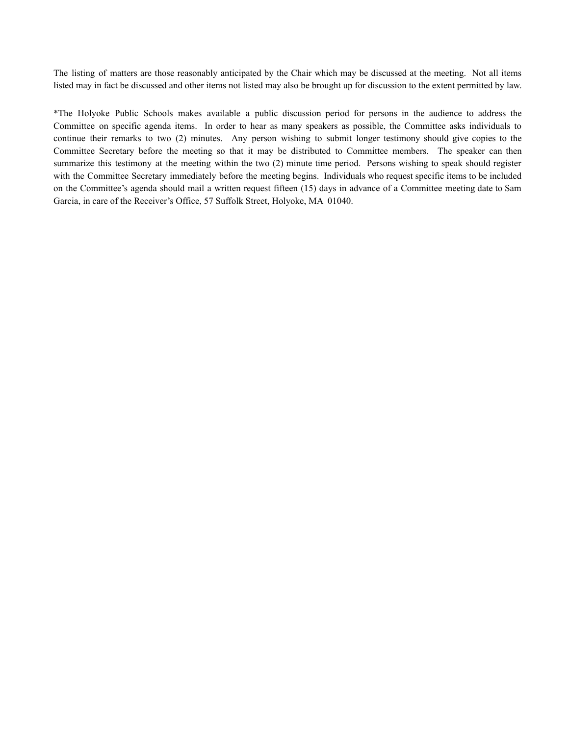The listing of matters are those reasonably anticipated by the Chair which may be discussed at the meeting. Not all items listed may in fact be discussed and other items not listed may also be brought up for discussion to the extent permitted by law.

\*The Holyoke Public Schools makes available a public discussion period for persons in the audience to address the Committee on specific agenda items. In order to hear as many speakers as possible, the Committee asks individuals to continue their remarks to two (2) minutes. Any person wishing to submit longer testimony should give copies to the Committee Secretary before the meeting so that it may be distributed to Committee members. The speaker can then summarize this testimony at the meeting within the two (2) minute time period. Persons wishing to speak should register with the Committee Secretary immediately before the meeting begins. Individuals who request specific items to be included on the Committee's agenda should mail a written request fifteen (15) days in advance of a Committee meeting date to Sam Garcia, in care of the Receiver's Office, 57 Suffolk Street, Holyoke, MA 01040.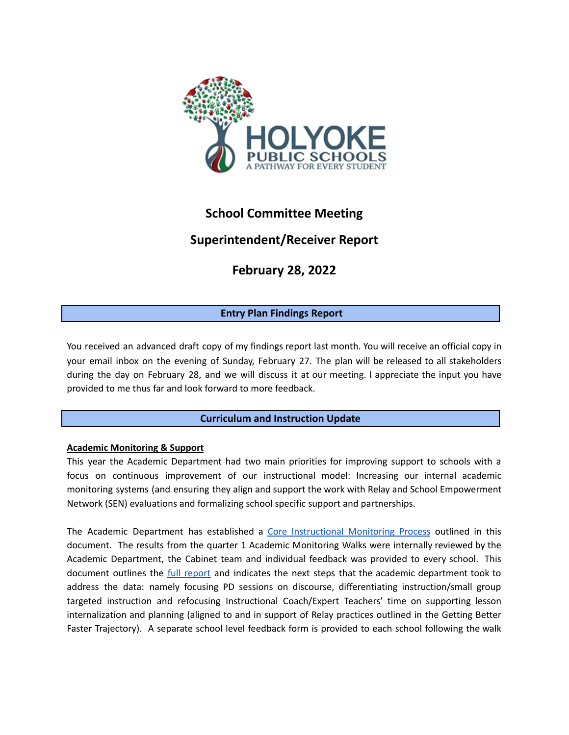

# **School Committee Meeting**

# **Superintendent/Receiver Report**

# **February 28, 2022**

## **Entry Plan Findings Report**

You received an advanced draft copy of my findings report last month. You will receive an official copy in your email inbox on the evening of Sunday, February 27. The plan will be released to all stakeholders during the day on February 28, and we will discuss it at our meeting. I appreciate the input you have provided to me thus far and look forward to more feedback.

## **Curriculum and Instruction Update**

#### **Academic Monitoring & Support**

This year the Academic Department had two main priorities for improving support to schools with a focus on continuous improvement of our instructional model: Increasing our internal academic monitoring systems (and ensuring they align and support the work with Relay and School Empowerment Network (SEN) evaluations and formalizing school specific support and partnerships.

The Academic Department has established a Core [Instructional](https://docs.google.com/document/d/1HO_xJ2YU0qY5yyRd4EIxEaDjKHoLoHTbObjgfhUABOI/edit?usp=sharing) Monitoring Process outlined in this document. The results from the quarter 1 Academic Monitoring Walks were internally reviewed by the Academic Department, the Cabinet team and individual feedback was provided to every school. This document outlines the full [report](https://docs.google.com/document/d/1PjTFtlf3qpJnbVglb6lZdcKtBKV1zGMDf7sp2pfaTZs/edit?usp=sharing) and indicates the next steps that the academic department took to address the data: namely focusing PD sessions on discourse, differentiating instruction/small group targeted instruction and refocusing Instructional Coach/Expert Teachers' time on supporting lesson internalization and planning (aligned to and in support of Relay practices outlined in the Getting Better Faster Trajectory). A separate school level feedback form is provided to each school following the walk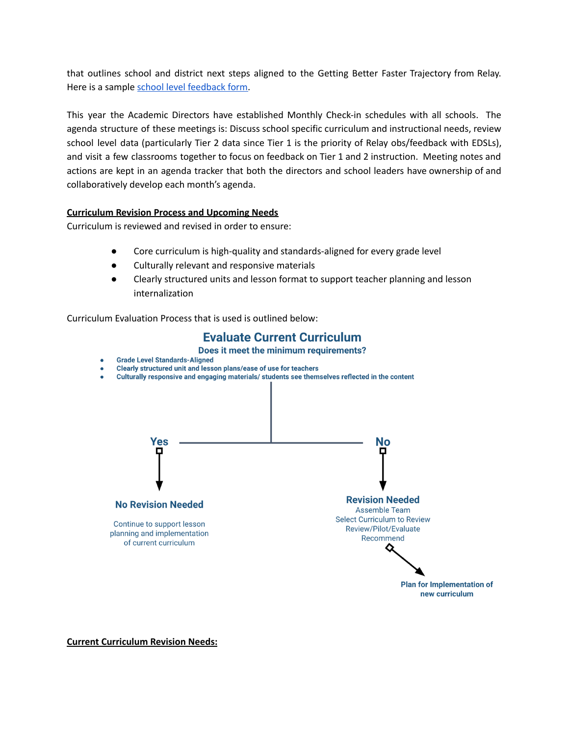that outlines school and district next steps aligned to the Getting Better Faster Trajectory from Relay. Here is a sample school level [feedback](https://docs.google.com/document/d/1R9YIhjhYitw-aUoYbX4GB7IEuFrPFWcnvoaX3gB4cYw/edit?usp=sharing) form.

This year the Academic Directors have established Monthly Check-in schedules with all schools. The agenda structure of these meetings is: Discuss school specific curriculum and instructional needs, review school level data (particularly Tier 2 data since Tier 1 is the priority of Relay obs/feedback with EDSLs), and visit a few classrooms together to focus on feedback on Tier 1 and 2 instruction. Meeting notes and actions are kept in an agenda tracker that both the directors and school leaders have ownership of and collaboratively develop each month's agenda.

#### **Curriculum Revision Process and Upcoming Needs**

Curriculum is reviewed and revised in order to ensure:

- Core curriculum is high-quality and standards-aligned for every grade level
- Culturally relevant and responsive materials
- Clearly structured units and lesson format to support teacher planning and lesson internalization

Curriculum Evaluation Process that is used is outlined below:

# **Evaluate Current Curriculum**

Does it meet the minimum requirements?

- **Grade Level Standards-Aligned**
- Clearly structured unit and lesson plans/ease of use for teachers
- Culturally responsive and engaging materials/ students see themselves reflected in the content  $\bullet$



**Current Curriculum Revision Needs:**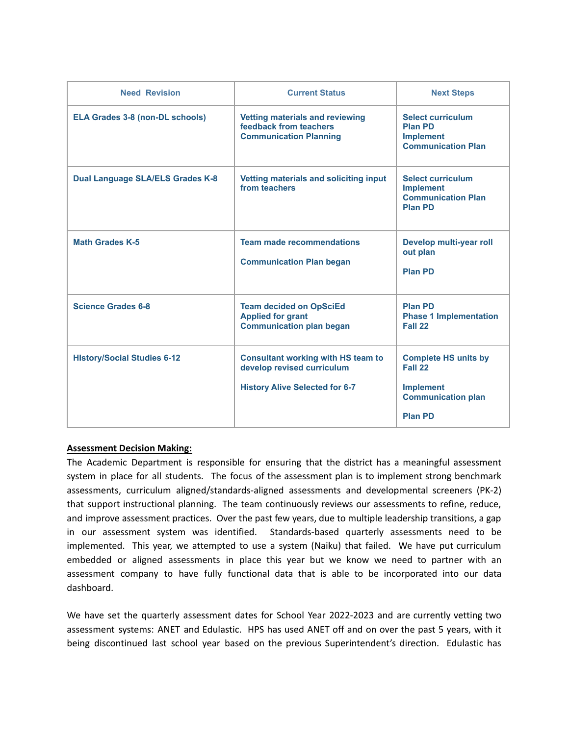| <b>Need Revision</b>                    | <b>Current Status</b>                                                                                            | <b>Next Steps</b>                                                                                         |
|-----------------------------------------|------------------------------------------------------------------------------------------------------------------|-----------------------------------------------------------------------------------------------------------|
| <b>ELA Grades 3-8 (non-DL schools)</b>  | <b>Vetting materials and reviewing</b><br>feedback from teachers<br><b>Communication Planning</b>                | <b>Select curriculum</b><br><b>Plan PD</b><br><b>Implement</b><br><b>Communication Plan</b>               |
| <b>Dual Language SLA/ELS Grades K-8</b> | Vetting materials and soliciting input<br>from teachers                                                          | <b>Select curriculum</b><br><b>Implement</b><br><b>Communication Plan</b><br><b>Plan PD</b>               |
| <b>Math Grades K-5</b>                  | <b>Team made recommendations</b><br><b>Communication Plan began</b>                                              | Develop multi-year roll<br>out plan<br><b>Plan PD</b>                                                     |
| <b>Science Grades 6-8</b>               | <b>Team decided on OpSciEd</b><br><b>Applied for grant</b><br><b>Communication plan began</b>                    | <b>Plan PD</b><br><b>Phase 1 Implementation</b><br>Fall 22                                                |
| <b>History/Social Studies 6-12</b>      | <b>Consultant working with HS team to</b><br>develop revised curriculum<br><b>History Alive Selected for 6-7</b> | <b>Complete HS units by</b><br>Fall 22<br><b>Implement</b><br><b>Communication plan</b><br><b>Plan PD</b> |

#### **Assessment Decision Making:**

The Academic Department is responsible for ensuring that the district has a meaningful assessment system in place for all students. The focus of the assessment plan is to implement strong benchmark assessments, curriculum aligned/standards-aligned assessments and developmental screeners (PK-2) that support instructional planning. The team continuously reviews our assessments to refine, reduce, and improve assessment practices. Over the past few years, due to multiple leadership transitions, a gap in our assessment system was identified. Standards-based quarterly assessments need to be implemented. This year, we attempted to use a system (Naiku) that failed. We have put curriculum embedded or aligned assessments in place this year but we know we need to partner with an assessment company to have fully functional data that is able to be incorporated into our data dashboard.

We have set the quarterly assessment dates for School Year 2022-2023 and are currently vetting two assessment systems: ANET and Edulastic. HPS has used ANET off and on over the past 5 years, with it being discontinued last school year based on the previous Superintendent's direction. Edulastic has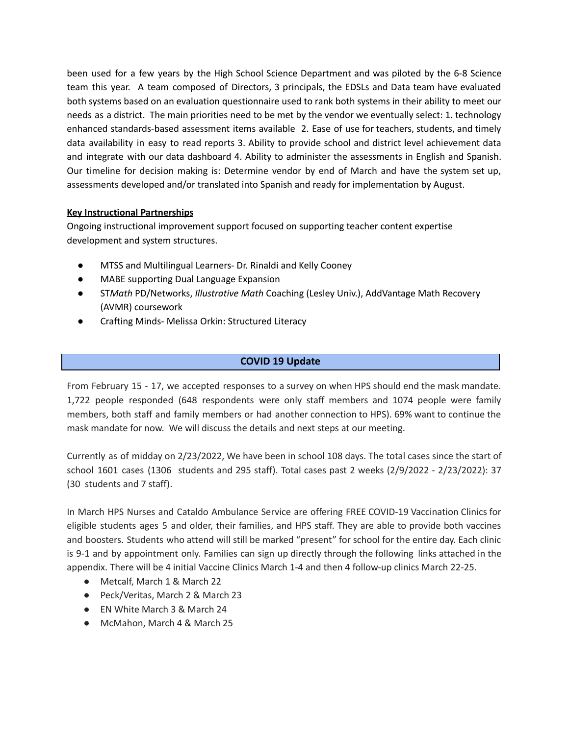been used for a few years by the High School Science Department and was piloted by the 6-8 Science team this year. A team composed of Directors, 3 principals, the EDSLs and Data team have evaluated both systems based on an evaluation questionnaire used to rank both systems in their ability to meet our needs as a district. The main priorities need to be met by the vendor we eventually select: 1. technology enhanced standards-based assessment items available 2. Ease of use for teachers, students, and timely data availability in easy to read reports 3. Ability to provide school and district level achievement data and integrate with our data dashboard 4. Ability to administer the assessments in English and Spanish. Our timeline for decision making is: Determine vendor by end of March and have the system set up, assessments developed and/or translated into Spanish and ready for implementation by August.

#### **Key Instructional Partnerships**

Ongoing instructional improvement support focused on supporting teacher content expertise development and system structures.

- MTSS and Multilingual Learners- Dr. Rinaldi and Kelly Cooney
- **MABE supporting Dual Language Expansion**
- ST*Math* PD/Networks, *Illustrative Math* Coaching (Lesley Univ.), AddVantage Math Recovery (AVMR) coursework
- Crafting Minds- Melissa Orkin: Structured Literacy

#### **COVID 19 Update**

From February 15 - 17, we accepted responses to a survey on when HPS should end the mask mandate. 1,722 people responded (648 respondents were only staff members and 1074 people were family members, both staff and family members or had another connection to HPS). 69% want to continue the mask mandate for now. We will discuss the details and next steps at our meeting.

Currently as of midday on 2/23/2022, We have been in school 108 days. The total cases since the start of school 1601 cases (1306 students and 295 staff). Total cases past 2 weeks (2/9/2022 - 2/23/2022): 37 (30 students and 7 staff).

In March HPS Nurses and Cataldo Ambulance Service are offering FREE COVID-19 Vaccination Clinics for eligible students ages 5 and older, their families, and HPS staff. They are able to provide both vaccines and boosters. Students who attend will still be marked "present" for school for the entire day. Each clinic is 9-1 and by appointment only. Families can sign up directly through the following links attached in the appendix. There will be 4 initial Vaccine Clinics March 1-4 and then 4 follow-up clinics March 22-25.

- Metcalf, March 1 & March 22
- Peck/Veritas, March 2 & March 23
- EN White March 3 & March 24
- McMahon, March 4 & March 25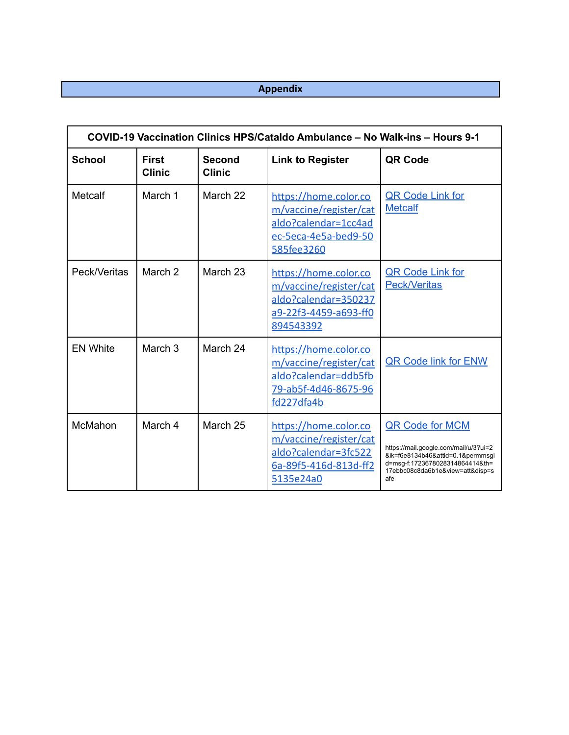# **Appendix**

| COVID-19 Vaccination Clinics HPS/Cataldo Ambulance - No Walk-ins - Hours 9-1 |                               |                                |                                                                                                               |                                                                                                                                                                                    |  |  |  |  |  |  |
|------------------------------------------------------------------------------|-------------------------------|--------------------------------|---------------------------------------------------------------------------------------------------------------|------------------------------------------------------------------------------------------------------------------------------------------------------------------------------------|--|--|--|--|--|--|
| <b>School</b>                                                                | <b>First</b><br><b>Clinic</b> | <b>Second</b><br><b>Clinic</b> | <b>Link to Register</b>                                                                                       | QR Code                                                                                                                                                                            |  |  |  |  |  |  |
| Metcalf                                                                      | March 1                       | March 22                       | https://home.color.co<br>m/vaccine/register/cat<br>aldo?calendar=1cc4ad<br>ec-5eca-4e5a-bed9-50<br>585fee3260 | <b>QR Code Link for</b><br><b>Metcalf</b>                                                                                                                                          |  |  |  |  |  |  |
| Peck/Veritas                                                                 | March <sub>2</sub>            | March 23                       | https://home.color.co<br>m/vaccine/register/cat<br>aldo?calendar=350237<br>a9-22f3-4459-a693-ff0<br>894543392 | <b>QR Code Link for</b><br><b>Peck/Veritas</b>                                                                                                                                     |  |  |  |  |  |  |
| <b>EN White</b>                                                              | March <sub>3</sub>            | March 24                       | https://home.color.co<br>m/vaccine/register/cat<br>aldo?calendar=ddb5fb<br>79-ab5f-4d46-8675-96<br>fd227dfa4b | <b>QR Code link for ENW</b>                                                                                                                                                        |  |  |  |  |  |  |
| McMahon                                                                      | March 4                       | March 25                       | https://home.color.co<br>m/vaccine/register/cat<br>aldo?calendar=3fc522<br>6a-89f5-416d-813d-ff2<br>5135e24a0 | <b>QR Code for MCM</b><br>https://mail.google.com/mail/u/3?ui=2<br>&ik=f6e8134b46&attid=0.1&permmsgi<br>d=msg-f:1723678028314864414&th=<br>17ebbc08c8da6b1e&view=att&disp=s<br>afe |  |  |  |  |  |  |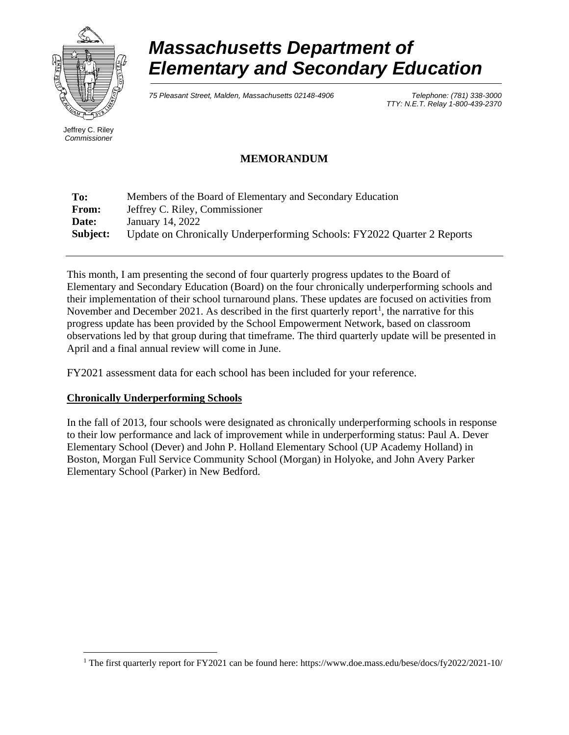

# *Massachusetts Department of Elementary and Secondary Education*

*75 Pleasant Street, Malden, Massachusetts 02148-4906 Telephone: (781) 338-3000* 

*TTY: N.E.T. Relay 1-800-439-2370*

Jeffrey C. Riley *Commissioner*

# **MEMORANDUM**

| To:      | Members of the Board of Elementary and Secondary Education              |
|----------|-------------------------------------------------------------------------|
| From:    | Jeffrey C. Riley, Commissioner                                          |
| Date:    | January 14, 2022                                                        |
| Subject: | Update on Chronically Underperforming Schools: FY2022 Quarter 2 Reports |

This month, I am presenting the second of four quarterly progress updates to the Board of Elementary and Secondary Education (Board) on the four chronically underperforming schools and their implementation of their school turnaround plans. These updates are focused on activities from November and December 202[1](#page-9-0). As described in the first quarterly report<sup>1</sup>, the narrative for this progress update has been provided by the School Empowerment Network, based on classroom observations led by that group during that timeframe. The third quarterly update will be presented in April and a final annual review will come in June.

FY2021 assessment data for each school has been included for your reference.

#### **Chronically Underperforming Schools**

In the fall of 2013, four schools were designated as chronically underperforming schools in response to their low performance and lack of improvement while in underperforming status: Paul A. Dever Elementary School (Dever) and John P. Holland Elementary School (UP Academy Holland) in Boston, Morgan Full Service Community School (Morgan) in Holyoke, and John Avery Parker Elementary School (Parker) in New Bedford.

<span id="page-9-0"></span> <sup>1</sup> The first quarterly report for FY2021 can be found here: https://www.doe.mass.edu/bese/docs/fy2022/2021-10/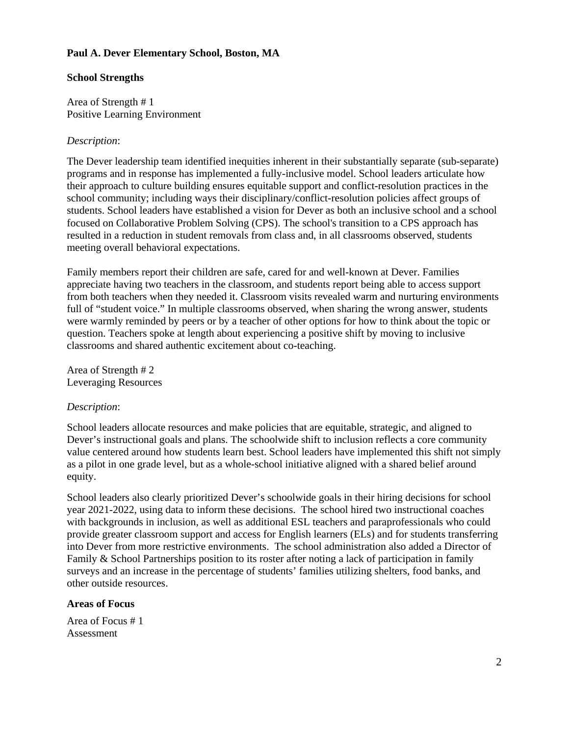#### **Paul A. Dever Elementary School, Boston, MA**

#### **School Strengths**

Area of Strength # 1 Positive Learning Environment

#### *Description*:

The Dever leadership team identified inequities inherent in their substantially separate (sub-separate) programs and in response has implemented a fully-inclusive model. School leaders articulate how their approach to culture building ensures equitable support and conflict-resolution practices in the school community; including ways their disciplinary/conflict-resolution policies affect groups of students. School leaders have established a vision for Dever as both an inclusive school and a school focused on Collaborative Problem Solving (CPS). The school's transition to a CPS approach has resulted in a reduction in student removals from class and, in all classrooms observed, students meeting overall behavioral expectations.

Family members report their children are safe, cared for and well-known at Dever. Families appreciate having two teachers in the classroom, and students report being able to access support from both teachers when they needed it. Classroom visits revealed warm and nurturing environments full of "student voice." In multiple classrooms observed, when sharing the wrong answer, students were warmly reminded by peers or by a teacher of other options for how to think about the topic or question. Teachers spoke at length about experiencing a positive shift by moving to inclusive classrooms and shared authentic excitement about co-teaching.

Area of Strength # 2 Leveraging Resources

#### *Description*:

School leaders allocate resources and make policies that are equitable, strategic, and aligned to Dever's instructional goals and plans. The schoolwide shift to inclusion reflects a core community value centered around how students learn best. School leaders have implemented this shift not simply as a pilot in one grade level, but as a whole-school initiative aligned with a shared belief around equity.

School leaders also clearly prioritized Dever's schoolwide goals in their hiring decisions for school year 2021-2022, using data to inform these decisions. The school hired two instructional coaches with backgrounds in inclusion, as well as additional ESL teachers and paraprofessionals who could provide greater classroom support and access for English learners (ELs) and for students transferring into Dever from more restrictive environments. The school administration also added a Director of Family & School Partnerships position to its roster after noting a lack of participation in family surveys and an increase in the percentage of students' families utilizing shelters, food banks, and other outside resources.

#### **Areas of Focus**

Area of Focus # 1 Assessment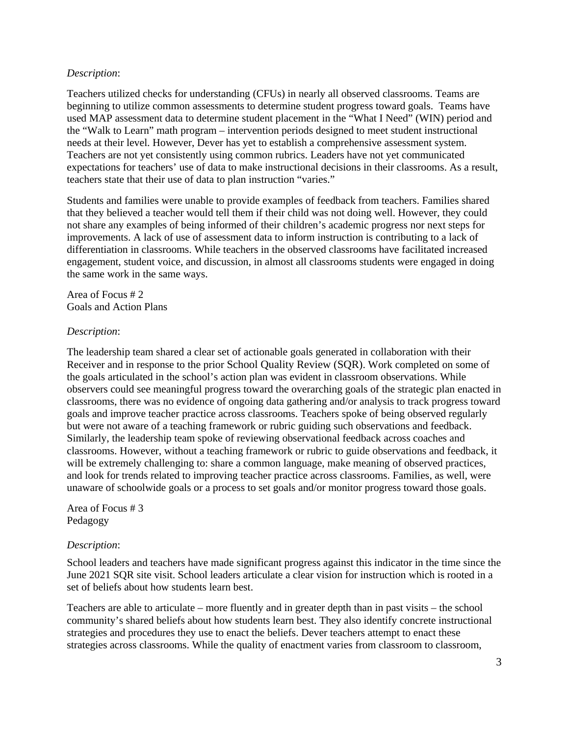#### *Description*:

Teachers utilized checks for understanding (CFUs) in nearly all observed classrooms. Teams are beginning to utilize common assessments to determine student progress toward goals. Teams have used MAP assessment data to determine student placement in the "What I Need" (WIN) period and the "Walk to Learn" math program – intervention periods designed to meet student instructional needs at their level. However, Dever has yet to establish a comprehensive assessment system. Teachers are not yet consistently using common rubrics. Leaders have not yet communicated expectations for teachers' use of data to make instructional decisions in their classrooms. As a result, teachers state that their use of data to plan instruction "varies."

Students and families were unable to provide examples of feedback from teachers. Families shared that they believed a teacher would tell them if their child was not doing well. However, they could not share any examples of being informed of their children's academic progress nor next steps for improvements. A lack of use of assessment data to inform instruction is contributing to a lack of differentiation in classrooms. While teachers in the observed classrooms have facilitated increased engagement, student voice, and discussion, in almost all classrooms students were engaged in doing the same work in the same ways.

Area of Focus # 2 Goals and Action Plans

#### *Description*:

The leadership team shared a clear set of actionable goals generated in collaboration with their Receiver and in response to the prior School Quality Review (SQR). Work completed on some of the goals articulated in the school's action plan was evident in classroom observations. While observers could see meaningful progress toward the overarching goals of the strategic plan enacted in classrooms, there was no evidence of ongoing data gathering and/or analysis to track progress toward goals and improve teacher practice across classrooms. Teachers spoke of being observed regularly but were not aware of a teaching framework or rubric guiding such observations and feedback. Similarly, the leadership team spoke of reviewing observational feedback across coaches and classrooms. However, without a teaching framework or rubric to guide observations and feedback, it will be extremely challenging to: share a common language, make meaning of observed practices, and look for trends related to improving teacher practice across classrooms. Families, as well, were unaware of schoolwide goals or a process to set goals and/or monitor progress toward those goals.

Area of Focus # 3 Pedagogy

#### *Description*:

School leaders and teachers have made significant progress against this indicator in the time since the June 2021 SQR site visit. School leaders articulate a clear vision for instruction which is rooted in a set of beliefs about how students learn best.

Teachers are able to articulate – more fluently and in greater depth than in past visits – the school community's shared beliefs about how students learn best. They also identify concrete instructional strategies and procedures they use to enact the beliefs. Dever teachers attempt to enact these strategies across classrooms. While the quality of enactment varies from classroom to classroom,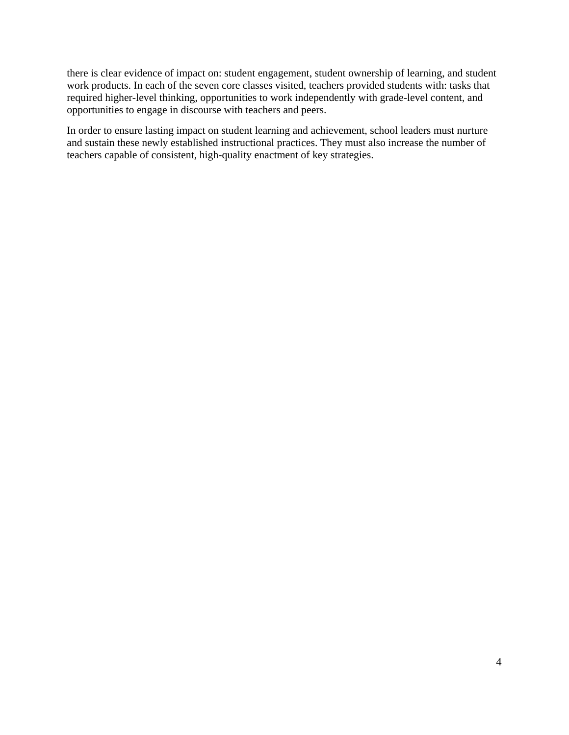there is clear evidence of impact on: student engagement, student ownership of learning, and student work products. In each of the seven core classes visited, teachers provided students with: tasks that required higher-level thinking, opportunities to work independently with grade-level content, and opportunities to engage in discourse with teachers and peers.

In order to ensure lasting impact on student learning and achievement, school leaders must nurture and sustain these newly established instructional practices. They must also increase the number of teachers capable of consistent, high-quality enactment of key strategies.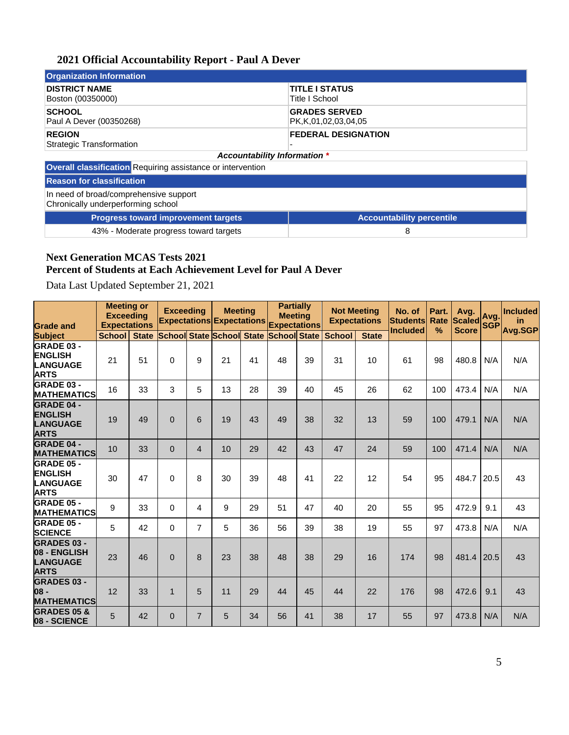#### **2021 Official Accountability Report - Paul A Dever**

| <b>Organization Information</b>                             |                                                   |
|-------------------------------------------------------------|---------------------------------------------------|
| <b>DISTRICT NAME</b><br>Boston (00350000)                   | <b>TITLE I STATUS</b><br>Title I School           |
| <b>SCHOOL</b><br>Paul A Dever (00350268)                    | <b>GRADES SERVED</b><br>PK, K, 01, 02, 03, 04, 05 |
| <b>REGION</b><br>Strategic Transformation                   | <b>FEDERAL DESIGNATION</b>                        |
|                                                             | <b>Accountability Information *</b>               |
| Overall classification Requiring assistance or intervention |                                                   |
| <b>Reason for classification</b>                            |                                                   |

In need of broad/comprehensive support Chronically underperforming school

> **Progress toward improvement targets Accountability percentile** 43% - Moderate progress toward targets 8

#### **Next Generation MCAS Tests 2021 Percent of Students at Each Achievement Level for Paul A Dever**

Data Last Updated September 21, 2021

| <b>Grade and</b>                                                      | <b>Meeting or</b><br><b>Exceeding</b><br><b>Expectations</b> |              | <b>Exceeding</b><br><b>Expectations Expectations</b> |                | <b>Meeting</b> |    | <b>Partially</b><br><b>Meeting</b><br><b>Expectations</b> |    | <b>Not Meeting</b><br><b>Expectations</b> |              | No. of<br><b>Students</b><br><b>Included</b> | Part.<br>Rate | Avg.<br><b>Scaled</b><br><b>Score</b> | Ava<br><b>SGP</b> | <b>Included</b><br>in. |
|-----------------------------------------------------------------------|--------------------------------------------------------------|--------------|------------------------------------------------------|----------------|----------------|----|-----------------------------------------------------------|----|-------------------------------------------|--------------|----------------------------------------------|---------------|---------------------------------------|-------------------|------------------------|
| <b>Subject</b>                                                        | <b>School</b>                                                | <b>State</b> | <b>School State School State</b>                     |                |                |    | <b>School State</b>                                       |    | <b>School</b>                             | <b>State</b> |                                              | $\%$          |                                       |                   | Avg.SGP                |
| GRADE 03 -<br><b>ENGLISH</b><br><b>LANGUAGE</b><br><b>ARTS</b>        | 21                                                           | 51           | $\Omega$                                             | 9              | 21             | 41 | 48                                                        | 39 | 31                                        | 10           | 61                                           | 98            | 480.8                                 | N/A               | N/A                    |
| <b>GRADE 03 -</b><br><b>MATHEMATICS</b>                               | 16                                                           | 33           | 3                                                    | 5              | 13             | 28 | 39                                                        | 40 | 45                                        | 26           | 62                                           | 100           | 473.4                                 | N/A               | N/A                    |
| <b>GRADE 04 -</b><br><b>ENGLISH</b><br><b>LANGUAGE</b><br><b>ARTS</b> | 19                                                           | 49           | $\Omega$                                             | 6              | 19             | 43 | 49                                                        | 38 | 32                                        | 13           | 59                                           | 100           | 479.1                                 | N/A               | N/A                    |
| <b>GRADE 04 -</b><br><b>MATHEMATICS</b>                               | 10                                                           | 33           | $\overline{0}$                                       | $\overline{4}$ | 10             | 29 | 42                                                        | 43 | 47                                        | 24           | 59                                           | 100           | 471.4                                 | N/A               | N/A                    |
| <b>GRADE 05 -</b><br><b>ENGLISH</b><br><b>LANGUAGE</b><br><b>ARTS</b> | 30                                                           | 47           | $\Omega$                                             | 8              | 30             | 39 | 48                                                        | 41 | 22                                        | 12           | 54                                           | 95            | 484.7                                 | 20.5              | 43                     |
| <b>GRADE 05 -</b><br><b>MATHEMATICS</b>                               | 9                                                            | 33           | 0                                                    | 4              | 9              | 29 | 51                                                        | 47 | 40                                        | 20           | 55                                           | 95            | 472.9                                 | 9.1               | 43                     |
| <b>GRADE 05 -</b><br><b>SCIENCE</b>                                   | 5                                                            | 42           | 0                                                    | $\overline{7}$ | 5              | 36 | 56                                                        | 39 | 38                                        | 19           | 55                                           | 97            | 473.8                                 | N/A               | N/A                    |
| <b>GRADES 03 -</b><br>08 - ENGLISH<br><b>LANGUAGE</b><br><b>ARTS</b>  | 23                                                           | 46           | $\Omega$                                             | 8              | 23             | 38 | 48                                                        | 38 | 29                                        | 16           | 174                                          | 98            | 481.4                                 | 20.5              | 43                     |
| <b>GRADES 03 -</b><br>08 -<br><b>MATHEMATICS</b>                      | 12                                                           | 33           | $\mathbf{1}$                                         | 5              | 11             | 29 | 44                                                        | 45 | 44                                        | 22           | 176                                          | 98            | 472.6                                 | 9.1               | 43                     |
| <b>GRADES 05 &amp;</b><br>08 - SCIENCE                                | 5                                                            | 42           | $\Omega$                                             | $\overline{7}$ | 5              | 34 | 56                                                        | 41 | 38                                        | 17           | 55                                           | 97            | 473.8                                 | N/A               | N/A                    |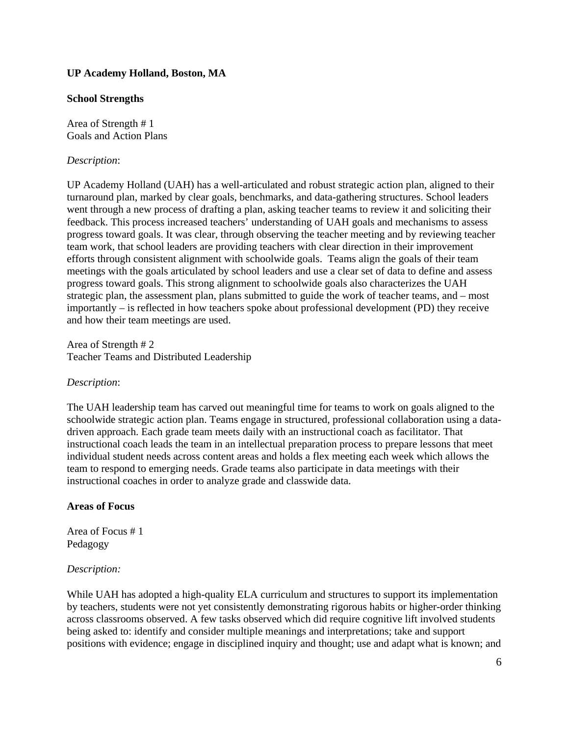#### **UP Academy Holland, Boston, MA**

#### **School Strengths**

Area of Strength # 1 Goals and Action Plans

#### *Description*:

UP Academy Holland (UAH) has a well-articulated and robust strategic action plan, aligned to their turnaround plan, marked by clear goals, benchmarks, and data-gathering structures. School leaders went through a new process of drafting a plan, asking teacher teams to review it and soliciting their feedback. This process increased teachers' understanding of UAH goals and mechanisms to assess progress toward goals. It was clear, through observing the teacher meeting and by reviewing teacher team work, that school leaders are providing teachers with clear direction in their improvement efforts through consistent alignment with schoolwide goals. Teams align the goals of their team meetings with the goals articulated by school leaders and use a clear set of data to define and assess progress toward goals. This strong alignment to schoolwide goals also characterizes the UAH strategic plan, the assessment plan, plans submitted to guide the work of teacher teams, and – most importantly – is reflected in how teachers spoke about professional development (PD) they receive and how their team meetings are used.

Area of Strength # 2 Teacher Teams and Distributed Leadership

#### *Description*:

The UAH leadership team has carved out meaningful time for teams to work on goals aligned to the schoolwide strategic action plan. Teams engage in structured, professional collaboration using a datadriven approach. Each grade team meets daily with an instructional coach as facilitator. That instructional coach leads the team in an intellectual preparation process to prepare lessons that meet individual student needs across content areas and holds a flex meeting each week which allows the team to respond to emerging needs. Grade teams also participate in data meetings with their instructional coaches in order to analyze grade and classwide data.

#### **Areas of Focus**

Area of Focus # 1 Pedagogy

#### *Description:*

While UAH has adopted a high-quality ELA curriculum and structures to support its implementation by teachers, students were not yet consistently demonstrating rigorous habits or higher-order thinking across classrooms observed. A few tasks observed which did require cognitive lift involved students being asked to: identify and consider multiple meanings and interpretations; take and support positions with evidence; engage in disciplined inquiry and thought; use and adapt what is known; and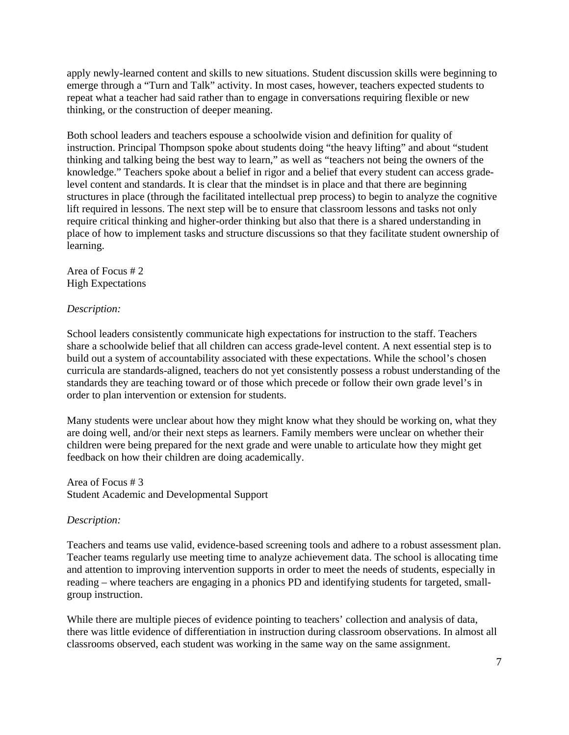apply newly-learned content and skills to new situations. Student discussion skills were beginning to emerge through a "Turn and Talk" activity. In most cases, however, teachers expected students to repeat what a teacher had said rather than to engage in conversations requiring flexible or new thinking, or the construction of deeper meaning.

Both school leaders and teachers espouse a schoolwide vision and definition for quality of instruction. Principal Thompson spoke about students doing "the heavy lifting" and about "student thinking and talking being the best way to learn," as well as "teachers not being the owners of the knowledge." Teachers spoke about a belief in rigor and a belief that every student can access gradelevel content and standards. It is clear that the mindset is in place and that there are beginning structures in place (through the facilitated intellectual prep process) to begin to analyze the cognitive lift required in lessons. The next step will be to ensure that classroom lessons and tasks not only require critical thinking and higher-order thinking but also that there is a shared understanding in place of how to implement tasks and structure discussions so that they facilitate student ownership of learning.

Area of Focus # 2 High Expectations

#### *Description:*

School leaders consistently communicate high expectations for instruction to the staff. Teachers share a schoolwide belief that all children can access grade-level content. A next essential step is to build out a system of accountability associated with these expectations. While the school's chosen curricula are standards-aligned, teachers do not yet consistently possess a robust understanding of the standards they are teaching toward or of those which precede or follow their own grade level's in order to plan intervention or extension for students.

Many students were unclear about how they might know what they should be working on, what they are doing well, and/or their next steps as learners. Family members were unclear on whether their children were being prepared for the next grade and were unable to articulate how they might get feedback on how their children are doing academically.

#### Area of Focus # 3 Student Academic and Developmental Support

#### *Description:*

Teachers and teams use valid, evidence-based screening tools and adhere to a robust assessment plan. Teacher teams regularly use meeting time to analyze achievement data. The school is allocating time and attention to improving intervention supports in order to meet the needs of students, especially in reading – where teachers are engaging in a phonics PD and identifying students for targeted, smallgroup instruction.

While there are multiple pieces of evidence pointing to teachers' collection and analysis of data, there was little evidence of differentiation in instruction during classroom observations. In almost all classrooms observed, each student was working in the same way on the same assignment.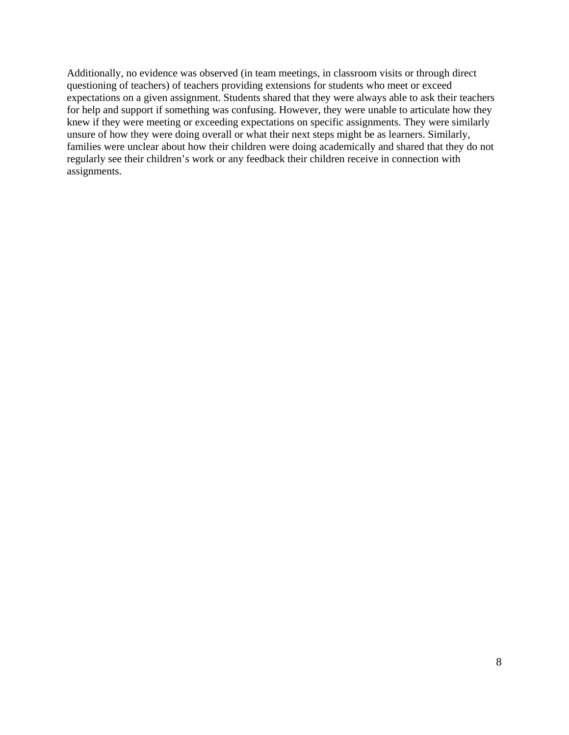Additionally, no evidence was observed (in team meetings, in classroom visits or through direct questioning of teachers) of teachers providing extensions for students who meet or exceed expectations on a given assignment. Students shared that they were always able to ask their teachers for help and support if something was confusing. However, they were unable to articulate how they knew if they were meeting or exceeding expectations on specific assignments. They were similarly unsure of how they were doing overall or what their next steps might be as learners. Similarly, families were unclear about how their children were doing academically and shared that they do not regularly see their children's work or any feedback their children receive in connection with assignments.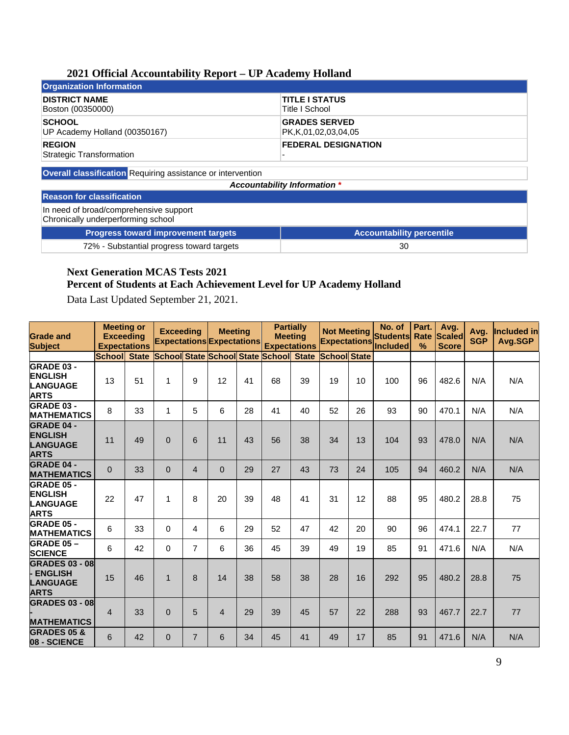#### **2021 Official Accountability Report – UP Academy Holland**

| Organization Information                  |                            |
|-------------------------------------------|----------------------------|
| <b>DISTRICT NAME</b>                      | <b>TITLE I STATUS</b>      |
| Boston (00350000)                         | Title I School             |
| <b>SCHOOL</b>                             | <b>GRADES SERVED</b>       |
| UP Academy Holland (00350167)             | PK,K,01,02,03,04,05        |
| <b>REGION</b><br>Strategic Transformation | <b>FEDERAL DESIGNATION</b> |

**Overall classification** Requiring assistance or intervention

*Accountability Information \**

### **Reason for classification**

In need of broad/comprehensive support Chronically underperforming school

| <b>Progress toward improvement targets</b> | <b>Accountability percentile</b> |
|--------------------------------------------|----------------------------------|
| 72% - Substantial progress toward targets  | 30                               |

#### **Next Generation MCAS Tests 2021 Percent of Students at Each Achievement Level for UP Academy Holland**

Data Last Updated September 21, 2021.

| <b>Grade and</b><br><b>Subject</b>                                    | <b>Meeting or</b><br><b>Exceeding</b><br><b>Expectations</b> |              | <b>Exceeding</b> |                | <b>Meeting</b><br><b>Expectations Expectations</b> | <b>Partially</b><br><b>Meeting</b><br><b>Expectations</b> |                                               | <b>Not Meeting</b><br><b>Expectations</b> |                     | No. of<br><b>Students</b><br>Included | Part.<br>Rate<br>$\frac{0}{2}$ | Avg.<br><b>Scaled</b><br><b>Score</b> | Avg.<br><b>SGP</b> | Included in<br>Avg.SGP |     |
|-----------------------------------------------------------------------|--------------------------------------------------------------|--------------|------------------|----------------|----------------------------------------------------|-----------------------------------------------------------|-----------------------------------------------|-------------------------------------------|---------------------|---------------------------------------|--------------------------------|---------------------------------------|--------------------|------------------------|-----|
|                                                                       | School                                                       | <b>State</b> |                  |                |                                                    |                                                           | <b>School State School State School State</b> |                                           | <b>School State</b> |                                       |                                |                                       |                    |                        |     |
| <b>GRADE 03 -</b><br><b>ENGLISH</b><br><b>LANGUAGE</b><br><b>ARTS</b> | 13                                                           | 51           | 1                | 9              | 12                                                 | 41                                                        | 68                                            | 39                                        | 19                  | 10                                    | 100                            | 96                                    | 482.6              | N/A                    | N/A |
| <b>GRADE 03 -</b><br><b>MATHEMATICS</b>                               | 8                                                            | 33           | $\mathbf{1}$     | 5              | 6                                                  | 28                                                        | 41                                            | 40                                        | 52                  | 26                                    | 93                             | 90                                    | 470.1              | N/A                    | N/A |
| <b>GRADE 04 -</b><br><b>ENGLISH</b><br><b>LANGUAGE</b><br><b>ARTS</b> | 11                                                           | 49           | $\mathbf{0}$     | 6              | 11                                                 | 43                                                        | 56                                            | 38                                        | 34                  | 13                                    | 104                            | 93                                    | 478.0              | N/A                    | N/A |
| <b>GRADE 04 -</b><br><b>MATHEMATICS</b>                               | $\Omega$                                                     | 33           | $\mathbf{0}$     | $\overline{4}$ | $\overline{0}$                                     | 29                                                        | 27                                            | 43                                        | 73                  | 24                                    | 105                            | 94                                    | 460.2              | N/A                    | N/A |
| <b>GRADE 05 -</b><br><b>ENGLISH</b><br><b>LANGUAGE</b><br><b>ARTS</b> | 22                                                           | 47           | 1                | 8              | 20                                                 | 39                                                        | 48                                            | 41                                        | 31                  | 12                                    | 88                             | 95                                    | 480.2              | 28.8                   | 75  |
| <b>GRADE 05 -</b><br><b>MATHEMATICS</b>                               | 6                                                            | 33           | 0                | 4              | 6                                                  | 29                                                        | 52                                            | 47                                        | 42                  | 20                                    | 90                             | 96                                    | 474.1              | 22.7                   | 77  |
| <b>GRADE 05-</b><br><b>SCIENCE</b>                                    | 6                                                            | 42           | 0                | $\overline{7}$ | 6                                                  | 36                                                        | 45                                            | 39                                        | 49                  | 19                                    | 85                             | 91                                    | 471.6              | N/A                    | N/A |
| <b>GRADES 03 - 08</b><br>- ENGLISH<br><b>LANGUAGE</b><br><b>ARTS</b>  | 15                                                           | 46           | $\mathbf{1}$     | 8              | 14                                                 | 38                                                        | 58                                            | 38                                        | 28                  | 16                                    | 292                            | 95                                    | 480.2              | 28.8                   | 75  |
| <b>GRADES 03 - 08</b><br><b>MATHEMATICS</b>                           | $\overline{4}$                                               | 33           | $\Omega$         | 5              | $\overline{4}$                                     | 29                                                        | 39                                            | 45                                        | 57                  | 22                                    | 288                            | 93                                    | 467.7              | 22.7                   | 77  |
| <b>GRADES 05 &amp;</b><br>08 - SCIENCE                                | 6                                                            | 42           | $\mathbf{0}$     | $\overline{7}$ | 6                                                  | 34                                                        | 45                                            | 41                                        | 49                  | 17                                    | 85                             | 91                                    | 471.6              | N/A                    | N/A |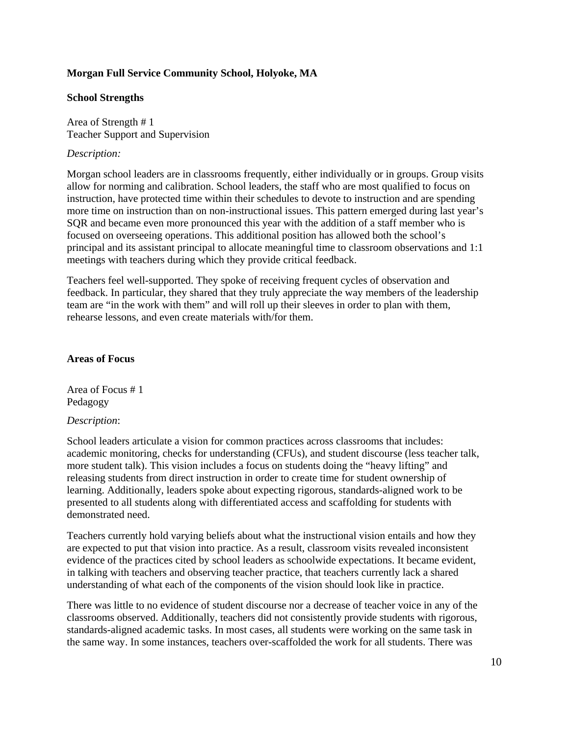#### **Morgan Full Service Community School, Holyoke, MA**

#### **School Strengths**

Area of Strength # 1 Teacher Support and Supervision

#### *Description:*

Morgan school leaders are in classrooms frequently, either individually or in groups. Group visits allow for norming and calibration. School leaders, the staff who are most qualified to focus on instruction, have protected time within their schedules to devote to instruction and are spending more time on instruction than on non-instructional issues. This pattern emerged during last year's SQR and became even more pronounced this year with the addition of a staff member who is focused on overseeing operations. This additional position has allowed both the school's principal and its assistant principal to allocate meaningful time to classroom observations and 1:1 meetings with teachers during which they provide critical feedback.

Teachers feel well-supported. They spoke of receiving frequent cycles of observation and feedback. In particular, they shared that they truly appreciate the way members of the leadership team are "in the work with them" and will roll up their sleeves in order to plan with them, rehearse lessons, and even create materials with/for them.

#### **Areas of Focus**

Area of Focus # 1 Pedagogy

#### *Description*:

School leaders articulate a vision for common practices across classrooms that includes: academic monitoring, checks for understanding (CFUs), and student discourse (less teacher talk, more student talk). This vision includes a focus on students doing the "heavy lifting" and releasing students from direct instruction in order to create time for student ownership of learning. Additionally, leaders spoke about expecting rigorous, standards-aligned work to be presented to all students along with differentiated access and scaffolding for students with demonstrated need.

Teachers currently hold varying beliefs about what the instructional vision entails and how they are expected to put that vision into practice. As a result, classroom visits revealed inconsistent evidence of the practices cited by school leaders as schoolwide expectations. It became evident, in talking with teachers and observing teacher practice, that teachers currently lack a shared understanding of what each of the components of the vision should look like in practice.

There was little to no evidence of student discourse nor a decrease of teacher voice in any of the classrooms observed. Additionally, teachers did not consistently provide students with rigorous, standards-aligned academic tasks. In most cases, all students were working on the same task in the same way. In some instances, teachers over-scaffolded the work for all students. There was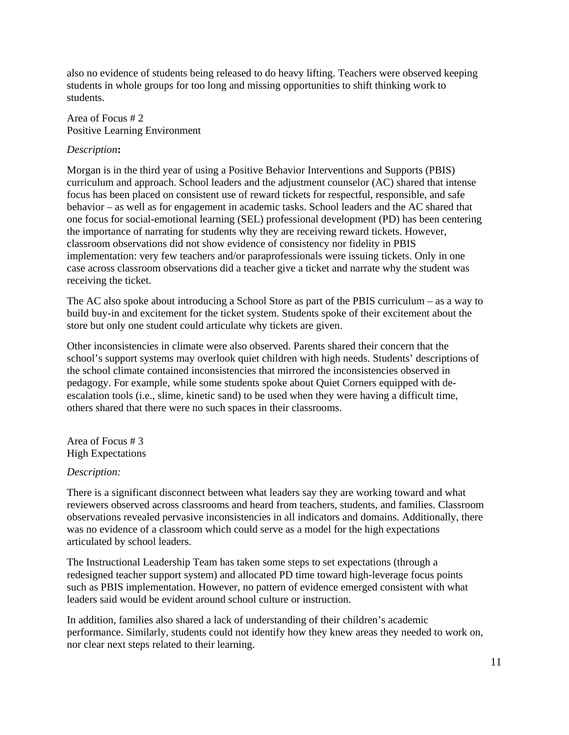also no evidence of students being released to do heavy lifting. Teachers were observed keeping students in whole groups for too long and missing opportunities to shift thinking work to students.

Area of Focus # 2 Positive Learning Environment

#### *Description***:**

Morgan is in the third year of using a Positive Behavior Interventions and Supports (PBIS) curriculum and approach. School leaders and the adjustment counselor (AC) shared that intense focus has been placed on consistent use of reward tickets for respectful, responsible, and safe behavior – as well as for engagement in academic tasks. School leaders and the AC shared that one focus for social-emotional learning (SEL) professional development (PD) has been centering the importance of narrating for students why they are receiving reward tickets. However, classroom observations did not show evidence of consistency nor fidelity in PBIS implementation: very few teachers and/or paraprofessionals were issuing tickets. Only in one case across classroom observations did a teacher give a ticket and narrate why the student was receiving the ticket.

The AC also spoke about introducing a School Store as part of the PBIS curriculum – as a way to build buy-in and excitement for the ticket system. Students spoke of their excitement about the store but only one student could articulate why tickets are given.

Other inconsistencies in climate were also observed. Parents shared their concern that the school's support systems may overlook quiet children with high needs. Students' descriptions of the school climate contained inconsistencies that mirrored the inconsistencies observed in pedagogy. For example, while some students spoke about Quiet Corners equipped with deescalation tools (i.e., slime, kinetic sand) to be used when they were having a difficult time, others shared that there were no such spaces in their classrooms.

Area of Focus # 3 High Expectations

#### *Description:*

There is a significant disconnect between what leaders say they are working toward and what reviewers observed across classrooms and heard from teachers, students, and families. Classroom observations revealed pervasive inconsistencies in all indicators and domains. Additionally, there was no evidence of a classroom which could serve as a model for the high expectations articulated by school leaders.

The Instructional Leadership Team has taken some steps to set expectations (through a redesigned teacher support system) and allocated PD time toward high-leverage focus points such as PBIS implementation. However, no pattern of evidence emerged consistent with what leaders said would be evident around school culture or instruction.

In addition, families also shared a lack of understanding of their children's academic performance. Similarly, students could not identify how they knew areas they needed to work on, nor clear next steps related to their learning.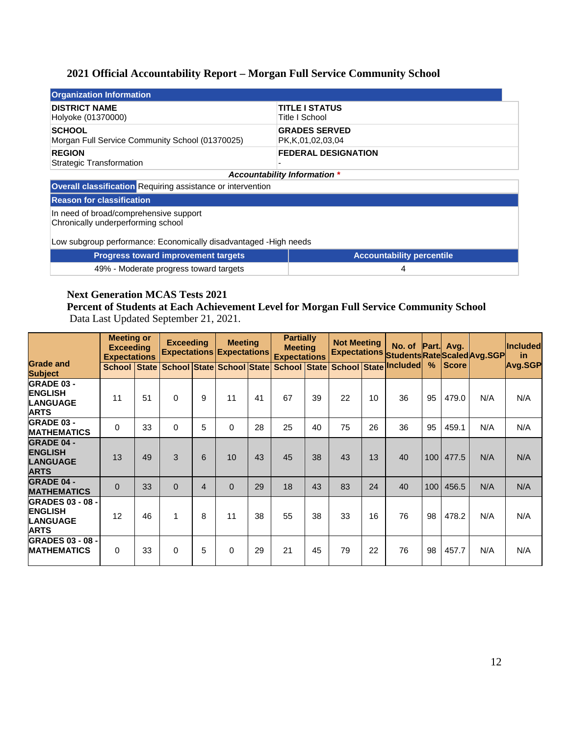# **2021 Official Accountability Report – Morgan Full Service Community School**

| <b>Organization Information</b>                                              |                                               |  |  |  |  |  |  |
|------------------------------------------------------------------------------|-----------------------------------------------|--|--|--|--|--|--|
| <b>DISTRICT NAME</b><br>Holyoke (01370000)                                   | <b>TITLE I STATUS</b><br>Title I School       |  |  |  |  |  |  |
| <b>SCHOOL</b><br>Morgan Full Service Community School (01370025)             | <b>GRADES SERVED</b><br>PK, K, 01, 02, 03, 04 |  |  |  |  |  |  |
| <b>REGION</b><br><b>Strategic Transformation</b>                             | <b>FEDERAL DESIGNATION</b>                    |  |  |  |  |  |  |
|                                                                              | <b>Accountability Information *</b>           |  |  |  |  |  |  |
| <b>Overall classification Requiring assistance or intervention</b>           |                                               |  |  |  |  |  |  |
| <b>Reason for classification</b>                                             |                                               |  |  |  |  |  |  |
| In need of broad/comprehensive support<br>Chronically underperforming school |                                               |  |  |  |  |  |  |

Low subgroup performance: Economically disadvantaged -High needs

| <b>Progress toward improvement targets</b> | <b>Accountability percentile</b> |
|--------------------------------------------|----------------------------------|
| 49% - Moderate progress toward targets     |                                  |

# **Next Generation MCAS Tests 2021**

**Percent of Students at Each Achievement Level for Morgan Full Service Community School** Data Last Updated September 21, 2021.

|                                                                             | <b>Meeting or</b><br><b>Exceeding</b><br><b>Expectations</b> |    | <b>Exceeding</b>                       |                |          | <b>Meeting</b><br><b>Expectations Expectations</b> |    | <b>Partially</b><br><b>Meeting</b> |    | <b>Expectations</b> |                                    | <b>Not Meeting</b><br>Expectations Students Rate Scaled Avg.SGP |              |     |         |  | No. of Part. Avg. |  | <b>Included</b><br>-in |
|-----------------------------------------------------------------------------|--------------------------------------------------------------|----|----------------------------------------|----------------|----------|----------------------------------------------------|----|------------------------------------|----|---------------------|------------------------------------|-----------------------------------------------------------------|--------------|-----|---------|--|-------------------|--|------------------------|
| <b>Grade and</b><br><b>Subject</b>                                          |                                                              |    | School State School State School State |                |          |                                                    |    |                                    |    |                     | School State School State Included | %                                                               | <b>Score</b> |     | Avg.SGP |  |                   |  |                        |
| <b>GRADE 03 -</b><br><b>ENGLISH</b><br><b>LANGUAGE</b><br><b>ARTS</b>       | 11                                                           | 51 | $\Omega$                               | 9              | 11       | 41                                                 | 67 | 39                                 | 22 | 10                  | 36                                 | 95                                                              | 479.0        | N/A | N/A     |  |                   |  |                        |
| <b>GRADE 03 -</b><br><b>MATHEMATICS</b>                                     | 0                                                            | 33 | $\Omega$                               | 5              | $\Omega$ | 28                                                 | 25 | 40                                 | 75 | 26                  | 36                                 | 95                                                              | 459.1        | N/A | N/A     |  |                   |  |                        |
| <b>GRADE 04 -</b><br><b>ENGLISH</b><br><b>LANGUAGE</b><br><b>ARTS</b>       | 13                                                           | 49 | 3                                      | 6              | 10       | 43                                                 | 45 | 38                                 | 43 | 13                  | 40                                 | 100 <sub>l</sub>                                                | 477.5        | N/A | N/A     |  |                   |  |                        |
| <b>GRADE 04 -</b><br><b>MATHEMATICS</b>                                     | $\Omega$                                                     | 33 | $\Omega$                               | $\overline{4}$ | $\Omega$ | 29                                                 | 18 | 43                                 | 83 | 24                  | 40                                 | 100                                                             | 456.5        | N/A | N/A     |  |                   |  |                        |
| <b>GRADES 03 - 08 -</b><br><b>ENGLISH</b><br><b>LANGUAGE</b><br><b>ARTS</b> | 12                                                           | 46 | $\mathbf{1}$                           | 8              | 11       | 38                                                 | 55 | 38                                 | 33 | 16                  | 76                                 | 98                                                              | 478.2        | N/A | N/A     |  |                   |  |                        |
| <b>GRADES 03 - 08 -</b><br><b>MATHEMATICS</b>                               | $\Omega$                                                     | 33 | $\Omega$                               | 5              | $\Omega$ | 29                                                 | 21 | 45                                 | 79 | 22                  | 76                                 | 98                                                              | 457.7        | N/A | N/A     |  |                   |  |                        |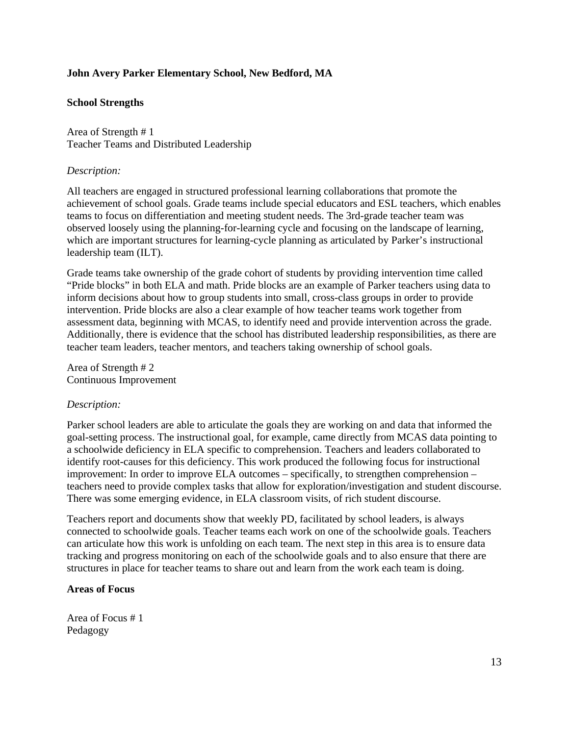#### **John Avery Parker Elementary School, New Bedford, MA**

#### **School Strengths**

Area of Strength # 1 Teacher Teams and Distributed Leadership

#### *Description:*

All teachers are engaged in structured professional learning collaborations that promote the achievement of school goals. Grade teams include special educators and ESL teachers, which enables teams to focus on differentiation and meeting student needs. The 3rd-grade teacher team was observed loosely using the planning-for-learning cycle and focusing on the landscape of learning, which are important structures for learning-cycle planning as articulated by Parker's instructional leadership team (ILT).

Grade teams take ownership of the grade cohort of students by providing intervention time called "Pride blocks" in both ELA and math. Pride blocks are an example of Parker teachers using data to inform decisions about how to group students into small, cross-class groups in order to provide intervention. Pride blocks are also a clear example of how teacher teams work together from assessment data, beginning with MCAS, to identify need and provide intervention across the grade. Additionally, there is evidence that the school has distributed leadership responsibilities, as there are teacher team leaders, teacher mentors, and teachers taking ownership of school goals.

Area of Strength # 2 Continuous Improvement

#### *Description:*

Parker school leaders are able to articulate the goals they are working on and data that informed the goal-setting process. The instructional goal, for example, came directly from MCAS data pointing to a schoolwide deficiency in ELA specific to comprehension. Teachers and leaders collaborated to identify root-causes for this deficiency. This work produced the following focus for instructional improvement: In order to improve ELA outcomes – specifically, to strengthen comprehension – teachers need to provide complex tasks that allow for exploration/investigation and student discourse. There was some emerging evidence, in ELA classroom visits, of rich student discourse.

Teachers report and documents show that weekly PD, facilitated by school leaders, is always connected to schoolwide goals. Teacher teams each work on one of the schoolwide goals. Teachers can articulate how this work is unfolding on each team. The next step in this area is to ensure data tracking and progress monitoring on each of the schoolwide goals and to also ensure that there are structures in place for teacher teams to share out and learn from the work each team is doing.

#### **Areas of Focus**

Area of Focus # 1 Pedagogy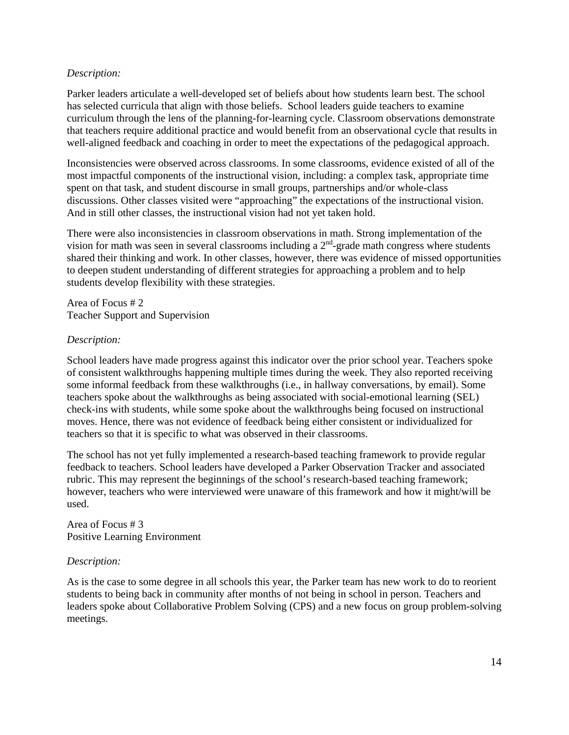#### *Description:*

Parker leaders articulate a well-developed set of beliefs about how students learn best. The school has selected curricula that align with those beliefs. School leaders guide teachers to examine curriculum through the lens of the planning-for-learning cycle. Classroom observations demonstrate that teachers require additional practice and would benefit from an observational cycle that results in well-aligned feedback and coaching in order to meet the expectations of the pedagogical approach.

Inconsistencies were observed across classrooms. In some classrooms, evidence existed of all of the most impactful components of the instructional vision, including: a complex task, appropriate time spent on that task, and student discourse in small groups, partnerships and/or whole-class discussions. Other classes visited were "approaching" the expectations of the instructional vision. And in still other classes, the instructional vision had not yet taken hold.

There were also inconsistencies in classroom observations in math. Strong implementation of the vision for math was seen in several classrooms including a  $2<sup>nd</sup>$ -grade math congress where students shared their thinking and work. In other classes, however, there was evidence of missed opportunities to deepen student understanding of different strategies for approaching a problem and to help students develop flexibility with these strategies.

Area of Focus # 2 Teacher Support and Supervision

#### *Description:*

School leaders have made progress against this indicator over the prior school year. Teachers spoke of consistent walkthroughs happening multiple times during the week. They also reported receiving some informal feedback from these walkthroughs (i.e., in hallway conversations, by email). Some teachers spoke about the walkthroughs as being associated with social-emotional learning (SEL) check-ins with students, while some spoke about the walkthroughs being focused on instructional moves. Hence, there was not evidence of feedback being either consistent or individualized for teachers so that it is specific to what was observed in their classrooms.

The school has not yet fully implemented a research-based teaching framework to provide regular feedback to teachers. School leaders have developed a Parker Observation Tracker and associated rubric. This may represent the beginnings of the school's research-based teaching framework; however, teachers who were interviewed were unaware of this framework and how it might/will be used.

Area of Focus # 3 Positive Learning Environment

#### *Description:*

As is the case to some degree in all schools this year, the Parker team has new work to do to reorient students to being back in community after months of not being in school in person. Teachers and leaders spoke about Collaborative Problem Solving (CPS) and a new focus on group problem-solving meetings.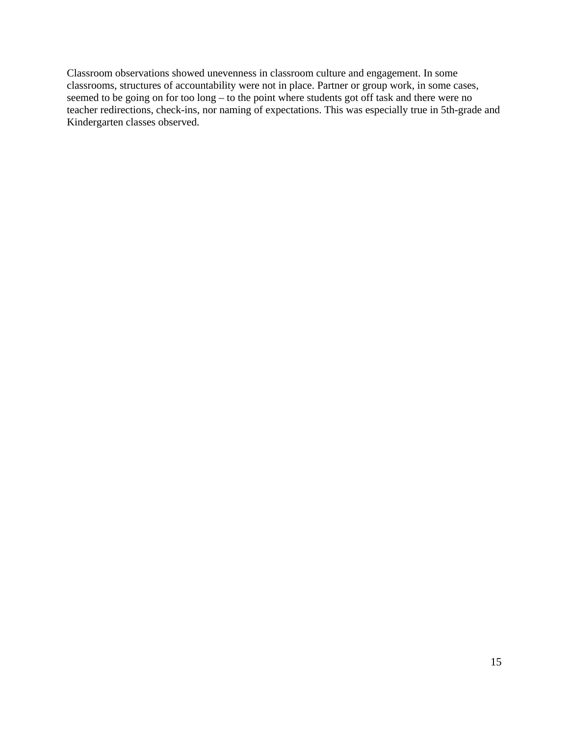Classroom observations showed unevenness in classroom culture and engagement. In some classrooms, structures of accountability were not in place. Partner or group work, in some cases, seemed to be going on for too long – to the point where students got off task and there were no teacher redirections, check-ins, nor naming of expectations. This was especially true in 5th-grade and Kindergarten classes observed.